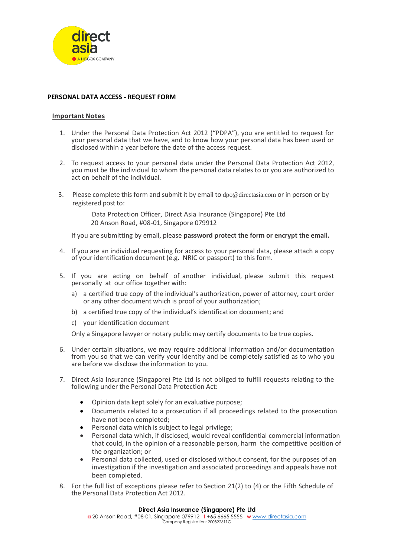

### **PERSONAL DATA ACCESS - REQUEST FORM**

#### **Important Notes**

- 1. Under the Personal Data Protection Act 2012 ("PDPA"), you are entitled to request for your personal data that we have, and to know how your personal data has been used or disclosed within a year before the date of the access request.
- 2. To request access to your personal data under the Personal Data Protection Act 2012, you must be the individual to whom the personal data relates to or you are authorized to act on behalf of the individual.
- 3. Please complete this form and submit it by email to [dpo@directasia.com](mailto:dpo@directasia.com) or in person or by registered post to:

Data Protection Officer, Direct Asia Insurance (Singapore) Pte Ltd 20 Anson Road, #08-01, Singapore 079912

If you are submitting by email, please **password protect the form or encrypt the email.**

- 4. If you are an individual requesting for access to your personal data, please attach a copy of your identification document (e.g. NRIC or passport) to this form.
- 5. If you are acting on behalf of another individual, please submit this request personally at our office together with:
	- a) a certified true copy of the individual's authorization, power of attorney, court order or any other document which is proof of your authorization;
	- b) a certified true copy of the individual's identification document; and
	- c) your identification document

Only a Singapore lawyer or notary public may certify documents to be true copies.

- 6. Under certain situations, we may require additional information and/or documentation from you so that we can verify your identity and be completely satisfied as to who you are before we disclose the information to you.
- 7. Direct Asia Insurance (Singapore) Pte Ltd is not obliged to fulfill requests relating to the following under the Personal Data Protection Act:
	- Opinion data kept solely for an evaluative purpose;
	- Documents related to a prosecution if all proceedings related to the prosecution have not been completed;
	- Personal data which is subject to legal privilege;
	- Personal data which, if disclosed, would reveal confidential commercial information that could, in the opinion of a reasonable person, harm the competitive position of the organization; or
	- Personal data collected, used or disclosed without consent, for the purposes of an investigation if the investigation and associated proceedings and appeals have not been completed.
- 8. For the full list of exceptions please refer to Section 21(2) to (4) or the Fifth Schedule of the Personal Data Protection Act 2012.

#### **Direct Asia Insurance (Singapore) Pte Ltd**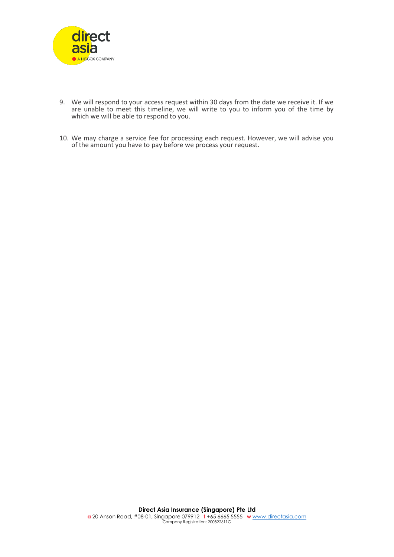

- 9. We will respond to your access request within 30 days from the date we receive it. If we are unable to meet this timeline, we will write to you to inform you of the time by which we will be able to respond to you.
- 10. We may charge a service fee for processing each request. However, we will advise you of the amount you have to pay before we process your request.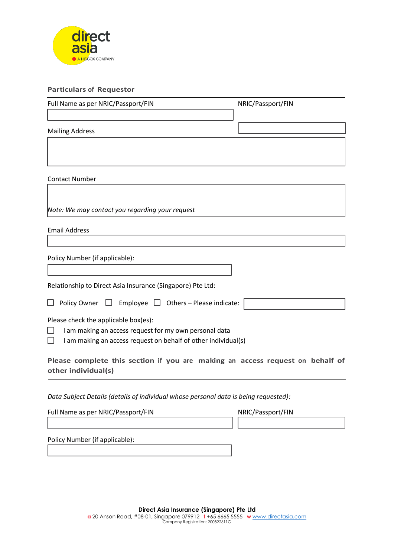

## **Particulars of Requestor**

Policy Number (if applicable):

| NRIC/Passport/FIN                                                                    |  |  |
|--------------------------------------------------------------------------------------|--|--|
|                                                                                      |  |  |
|                                                                                      |  |  |
|                                                                                      |  |  |
|                                                                                      |  |  |
|                                                                                      |  |  |
|                                                                                      |  |  |
|                                                                                      |  |  |
| Policy Owner $\Box$ Employee $\Box$ Others – Please indicate:                        |  |  |
| I am making an access request on behalf of other individual(s)                       |  |  |
| Please complete this section if you are making an access request on behalf of        |  |  |
| Data Subject Details (details of individual whose personal data is being requested): |  |  |
| NRIC/Passport/FIN                                                                    |  |  |
|                                                                                      |  |  |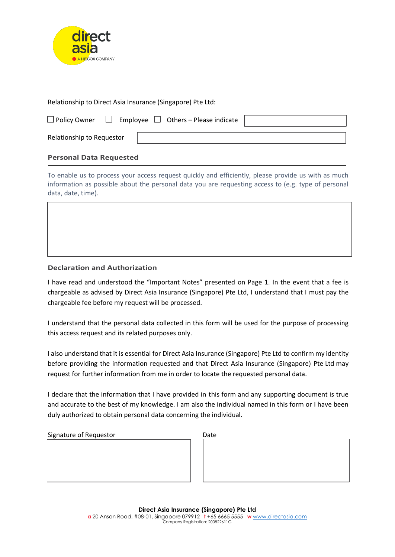

Relationship to Direct Asia Insurance (Singapore) Pte Ltd:

| $\Box$ Policy Owner $\Box$ Employee $\Box$ Others – Please indicate |  |
|---------------------------------------------------------------------|--|

Relationship to Requestor

# **Personal Data Requested**

To enable us to process your access request quickly and efficiently, please provide us with as much information as possible about the personal data you are requesting access to (e.g. type of personal data, date, time).

# **Declaration and Authorization**

I have read and understood the "Important Notes" presented on Page 1. In the event that a fee is chargeable as advised by Direct Asia Insurance (Singapore) Pte Ltd, I understand that I must pay the chargeable fee before my request will be processed.

I understand that the personal data collected in this form will be used for the purpose of processing this access request and its related purposes only.

I also understand that it is essential for Direct Asia Insurance (Singapore) Pte Ltd to confirm my identity before providing the information requested and that Direct Asia Insurance (Singapore) Pte Ltd may request for further information from me in order to locate the requested personal data.

I declare that the information that I have provided in this form and any supporting document is true and accurate to the best of my knowledge. I am also the individual named in this form or I have been duly authorized to obtain personal data concerning the individual.

| Signature of Requestor | Date |
|------------------------|------|
|                        |      |
|                        |      |
|                        |      |
|                        |      |

| Date |  |  |  |
|------|--|--|--|
|      |  |  |  |
|      |  |  |  |
|      |  |  |  |
|      |  |  |  |
|      |  |  |  |